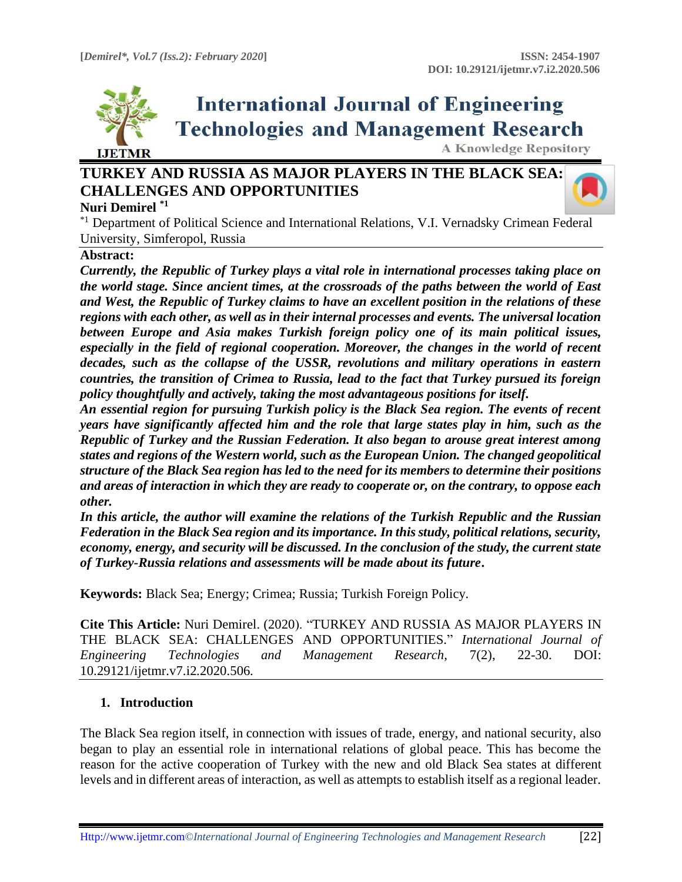

# **International Journal of Engineering Technologies and Management Research**

**A Knowledge Repository** 

# **TURKEY AND RUSSIA AS MAJOR PLAYERS IN THE BLACK SEA: CHALLENGES AND OPPORTUNITIES**

#### **Nuri Demirel \*1**

\*1 Department of Political Science and International Relations, V.I. Vernadsky Crimean Federal University, Simferopol, Russia

#### **Abstract:**

*Currently, the Republic of Turkey plays a vital role in international processes taking place on the world stage. Since ancient times, at the crossroads of the paths between the world of East and West, the Republic of Turkey claims to have an excellent position in the relations of these regions with each other, as well as in their internal processes and events. The universal location between Europe and Asia makes Turkish foreign policy one of its main political issues, especially in the field of regional cooperation. Moreover, the changes in the world of recent decades, such as the collapse of the USSR, revolutions and military operations in eastern countries, the transition of Crimea to Russia, lead to the fact that Turkey pursued its foreign policy thoughtfully and actively, taking the most advantageous positions for itself.*

*An essential region for pursuing Turkish policy is the Black Sea region. The events of recent years have significantly affected him and the role that large states play in him, such as the Republic of Turkey and the Russian Federation. It also began to arouse great interest among states and regions of the Western world, such as the European Union. The changed geopolitical structure of the Black Sea region has led to the need for its members to determine their positions and areas of interaction in which they are ready to cooperate or, on the contrary, to oppose each other.*

*In this article, the author will examine the relations of the Turkish Republic and the Russian Federation in the Black Sea region and its importance. In this study, political relations, security, economy, energy, and security will be discussed. In the conclusion of the study, the current state of Turkey-Russia relations and assessments will be made about its future***.**

**Keywords:** Black Sea; Energy; Crimea; Russia; Turkish Foreign Policy*.*

**Cite This Article:** Nuri Demirel. (2020). "TURKEY AND RUSSIA AS MAJOR PLAYERS IN THE BLACK SEA: CHALLENGES AND OPPORTUNITIES." *International Journal of Engineering Technologies and Management Research,* 7(2), 22-30. DOI: 10.29121/ijetmr.v7.i2.2020.506.

#### **1. Introduction**

The Black Sea region itself, in connection with issues of trade, energy, and national security, also began to play an essential role in international relations of global peace. This has become the reason for the active cooperation of Turkey with the new and old Black Sea states at different levels and in different areas of interaction, as well as attempts to establish itself as a regional leader.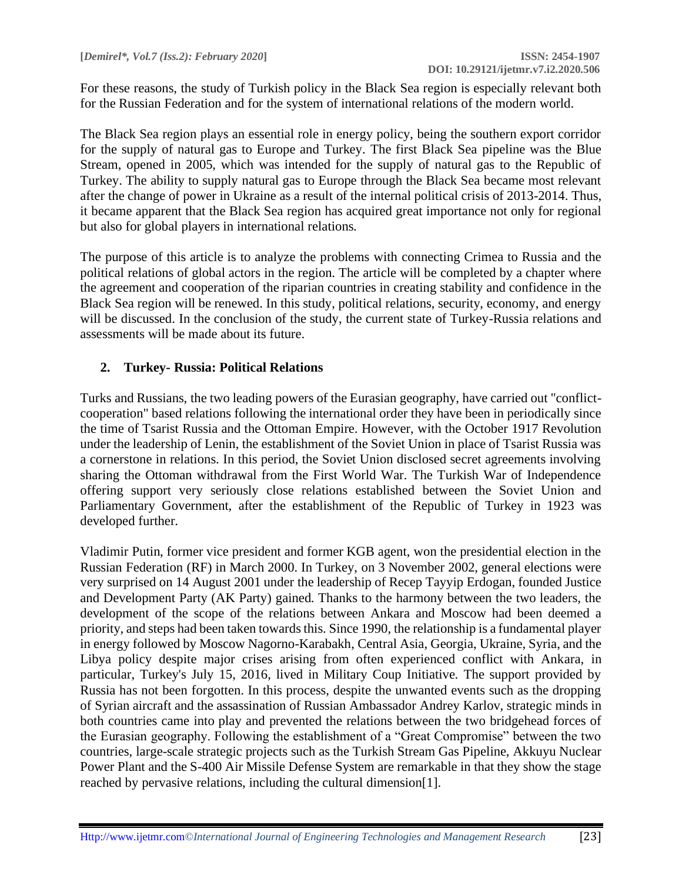For these reasons, the study of Turkish policy in the Black Sea region is especially relevant both for the Russian Federation and for the system of international relations of the modern world.

The Black Sea region plays an essential role in energy policy, being the southern export corridor for the supply of natural gas to Europe and Turkey. The first Black Sea pipeline was the Blue Stream, opened in 2005, which was intended for the supply of natural gas to the Republic of Turkey. The ability to supply natural gas to Europe through the Black Sea became most relevant after the change of power in Ukraine as a result of the internal political crisis of 2013-2014. Thus, it became apparent that the Black Sea region has acquired great importance not only for regional but also for global players in international relations.

The purpose of this article is to analyze the problems with connecting Crimea to Russia and the political relations of global actors in the region. The article will be completed by a chapter where the agreement and cooperation of the riparian countries in creating stability and confidence in the Black Sea region will be renewed. In this study, political relations, security, economy, and energy will be discussed. In the conclusion of the study, the current state of Turkey-Russia relations and assessments will be made about its future.

### **2. Turkey- Russia: Political Relations**

Turks and Russians, the two leading powers of the Eurasian geography, have carried out "conflictcooperation" based relations following the international order they have been in periodically since the time of Tsarist Russia and the Ottoman Empire. However, with the October 1917 Revolution under the leadership of Lenin, the establishment of the Soviet Union in place of Tsarist Russia was a cornerstone in relations. In this period, the Soviet Union disclosed secret agreements involving sharing the Ottoman withdrawal from the First World War. The Turkish War of Independence offering support very seriously close relations established between the Soviet Union and Parliamentary Government, after the establishment of the Republic of Turkey in 1923 was developed further.

Vladimir Putin, former vice president and former KGB agent, won the presidential election in the Russian Federation (RF) in March 2000. In Turkey, on 3 November 2002, general elections were very surprised on 14 August 2001 under the leadership of Recep Tayyip Erdogan, founded Justice and Development Party (AK Party) gained. Thanks to the harmony between the two leaders, the development of the scope of the relations between Ankara and Moscow had been deemed a priority, and steps had been taken towards this. Since 1990, the relationship is a fundamental player in energy followed by Moscow Nagorno-Karabakh, Central Asia, Georgia, Ukraine, Syria, and the Libya policy despite major crises arising from often experienced conflict with Ankara, in particular, Turkey's July 15, 2016, lived in Military Coup Initiative. The support provided by Russia has not been forgotten. In this process, despite the unwanted events such as the dropping of Syrian aircraft and the assassination of Russian Ambassador Andrey Karlov, strategic minds in both countries came into play and prevented the relations between the two bridgehead forces of the Eurasian geography. Following the establishment of a "Great Compromise" between the two countries, large-scale strategic projects such as the Turkish Stream Gas Pipeline, Akkuyu Nuclear Power Plant and the S-400 Air Missile Defense System are remarkable in that they show the stage reached by pervasive relations, including the cultural dimension[1].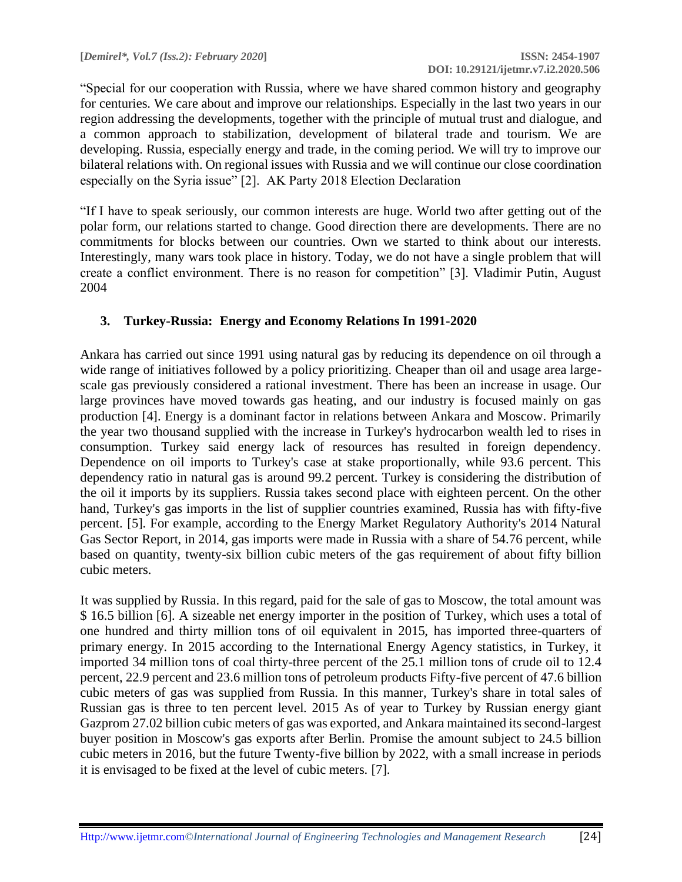"Special for our cooperation with Russia, where we have shared common history and geography for centuries. We care about and improve our relationships. Especially in the last two years in our region addressing the developments, together with the principle of mutual trust and dialogue, and a common approach to stabilization, development of bilateral trade and tourism. We are developing. Russia, especially energy and trade, in the coming period. We will try to improve our bilateral relations with. On regional issues with Russia and we will continue our close coordination especially on the Syria issue" [2]. AK Party 2018 Election Declaration

"If I have to speak seriously, our common interests are huge. World two after getting out of the polar form, our relations started to change. Good direction there are developments. There are no commitments for blocks between our countries. Own we started to think about our interests. Interestingly, many wars took place in history. Today, we do not have a single problem that will create a conflict environment. There is no reason for competition" [3]. Vladimir Putin, August 2004

#### **3. Turkey-Russia: Energy and Economy Relations In 1991-2020**

Ankara has carried out since 1991 using natural gas by reducing its dependence on oil through a wide range of initiatives followed by a policy prioritizing. Cheaper than oil and usage area largescale gas previously considered a rational investment. There has been an increase in usage. Our large provinces have moved towards gas heating, and our industry is focused mainly on gas production [4]. Energy is a dominant factor in relations between Ankara and Moscow. Primarily the year two thousand supplied with the increase in Turkey's hydrocarbon wealth led to rises in consumption. Turkey said energy lack of resources has resulted in foreign dependency. Dependence on oil imports to Turkey's case at stake proportionally, while 93.6 percent. This dependency ratio in natural gas is around 99.2 percent. Turkey is considering the distribution of the oil it imports by its suppliers. Russia takes second place with eighteen percent. On the other hand, Turkey's gas imports in the list of supplier countries examined, Russia has with fifty-five percent. [5]. For example, according to the Energy Market Regulatory Authority's 2014 Natural Gas Sector Report, in 2014, gas imports were made in Russia with a share of 54.76 percent, while based on quantity, twenty-six billion cubic meters of the gas requirement of about fifty billion cubic meters.

It was supplied by Russia. In this regard, paid for the sale of gas to Moscow, the total amount was \$ 16.5 billion [6]. A sizeable net energy importer in the position of Turkey, which uses a total of one hundred and thirty million tons of oil equivalent in 2015, has imported three-quarters of primary energy. In 2015 according to the International Energy Agency statistics, in Turkey, it imported 34 million tons of coal thirty-three percent of the 25.1 million tons of crude oil to 12.4 percent, 22.9 percent and 23.6 million tons of petroleum products Fifty-five percent of 47.6 billion cubic meters of gas was supplied from Russia. In this manner, Turkey's share in total sales of Russian gas is three to ten percent level. 2015 As of year to Turkey by Russian energy giant Gazprom 27.02 billion cubic meters of gas was exported, and Ankara maintained its second-largest buyer position in Moscow's gas exports after Berlin. Promise the amount subject to 24.5 billion cubic meters in 2016, but the future Twenty-five billion by 2022, with a small increase in periods it is envisaged to be fixed at the level of cubic meters. [7].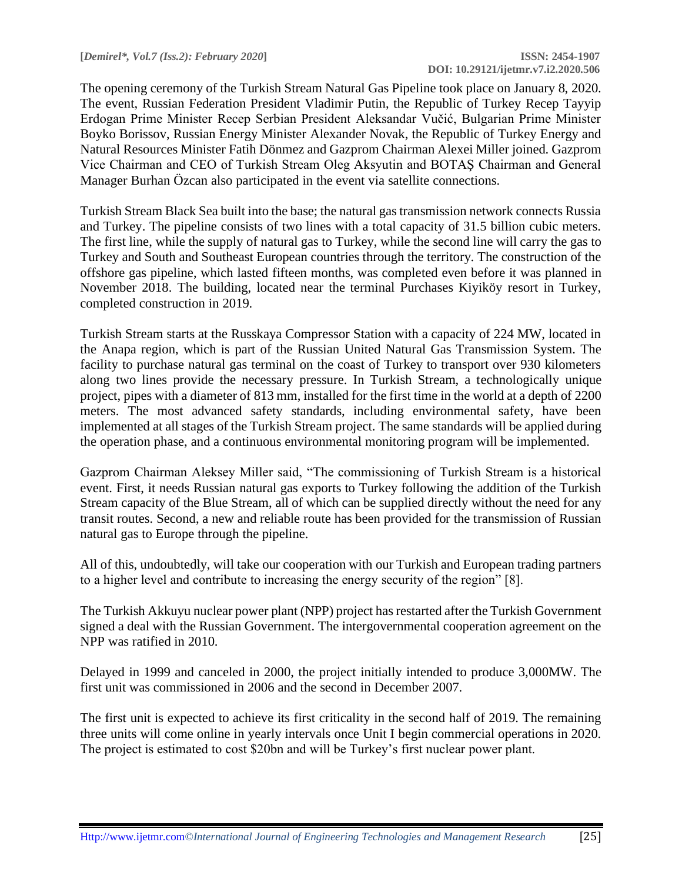The opening ceremony of the Turkish Stream Natural Gas Pipeline took place on January 8, 2020. The event, Russian Federation President Vladimir Putin, the Republic of Turkey Recep Tayyip Erdogan Prime Minister Recep Serbian President Aleksandar Vučić, Bulgarian Prime Minister Boyko Borissov, Russian Energy Minister Alexander Novak, the Republic of Turkey Energy and Natural Resources Minister Fatih Dönmez and Gazprom Chairman Alexei Miller joined. Gazprom Vice Chairman and CEO of Turkish Stream Oleg Aksyutin and BOTAŞ Chairman and General Manager Burhan Özcan also participated in the event via satellite connections.

Turkish Stream Black Sea built into the base; the natural gas transmission network connects Russia and Turkey. The pipeline consists of two lines with a total capacity of 31.5 billion cubic meters. The first line, while the supply of natural gas to Turkey, while the second line will carry the gas to Turkey and South and Southeast European countries through the territory. The construction of the offshore gas pipeline, which lasted fifteen months, was completed even before it was planned in November 2018. The building, located near the terminal Purchases Kiyiköy resort in Turkey, completed construction in 2019.

Turkish Stream starts at the Russkaya Compressor Station with a capacity of 224 MW, located in the Anapa region, which is part of the Russian United Natural Gas Transmission System. The facility to purchase natural gas terminal on the coast of Turkey to transport over 930 kilometers along two lines provide the necessary pressure. In Turkish Stream, a technologically unique project, pipes with a diameter of 813 mm, installed for the first time in the world at a depth of 2200 meters. The most advanced safety standards, including environmental safety, have been implemented at all stages of the Turkish Stream project. The same standards will be applied during the operation phase, and a continuous environmental monitoring program will be implemented.

Gazprom Chairman Aleksey Miller said, "The commissioning of Turkish Stream is a historical event. First, it needs Russian natural gas exports to Turkey following the addition of the Turkish Stream capacity of the Blue Stream, all of which can be supplied directly without the need for any transit routes. Second, a new and reliable route has been provided for the transmission of Russian natural gas to Europe through the pipeline.

All of this, undoubtedly, will take our cooperation with our Turkish and European trading partners to a higher level and contribute to increasing the energy security of the region" [8].

The Turkish Akkuyu nuclear power plant (NPP) project has restarted after the Turkish Government signed a deal with the Russian Government. The intergovernmental cooperation agreement on the NPP was ratified in 2010.

Delayed in 1999 and canceled in 2000, the project initially intended to produce 3,000MW. The first unit was commissioned in 2006 and the second in December 2007.

The first unit is expected to achieve its first criticality in the second half of 2019. The remaining three units will come online in yearly intervals once Unit I begin commercial operations in 2020. The project is estimated to cost \$20bn and will be Turkey's first nuclear power plant.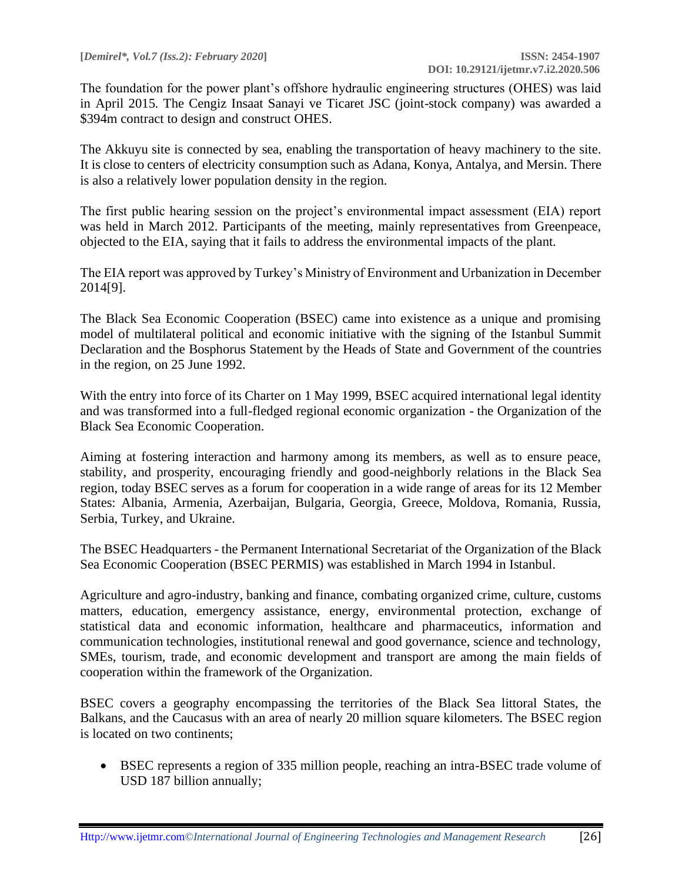The foundation for the power plant's offshore hydraulic engineering structures (OHES) was laid in April 2015. The Cengiz Insaat Sanayi ve Ticaret JSC (joint-stock company) was awarded a \$394m contract to design and construct OHES.

The Akkuyu site is connected by sea, enabling the transportation of heavy machinery to the site. It is close to centers of electricity consumption such as Adana, Konya, Antalya, and Mersin. There is also a relatively lower population density in the region.

The first public hearing session on the project's environmental impact assessment (EIA) report was held in March 2012. Participants of the meeting, mainly representatives from Greenpeace, objected to the EIA, saying that it fails to address the environmental impacts of the plant.

The EIA report was approved by Turkey's Ministry of Environment and Urbanization in December 2014[9].

The Black Sea Economic Cooperation (BSEC) came into existence as a unique and promising model of multilateral political and economic initiative with the signing of the Istanbul Summit Declaration and the Bosphorus Statement by the Heads of State and Government of the countries in the region, on 25 June 1992.

With the entry into force of its Charter on 1 May 1999, BSEC acquired international legal identity and was transformed into a full-fledged regional economic organization - the Organization of the Black Sea Economic Cooperation.

Aiming at fostering interaction and harmony among its members, as well as to ensure peace, stability, and prosperity, encouraging friendly and good-neighborly relations in the Black Sea region, today BSEC serves as a forum for cooperation in a wide range of areas for its 12 Member States: Albania, Armenia, Azerbaijan, Bulgaria, Georgia, Greece, Moldova, Romania, Russia, Serbia, Turkey, and Ukraine.

The BSEC Headquarters - the Permanent International Secretariat of the Organization of the Black Sea Economic Cooperation (BSEC PERMIS) was established in March 1994 in Istanbul.

Agriculture and agro-industry, banking and finance, combating organized crime, culture, customs matters, education, emergency assistance, energy, environmental protection, exchange of statistical data and economic information, healthcare and pharmaceutics, information and communication technologies, institutional renewal and good governance, science and technology, SMEs, tourism, trade, and economic development and transport are among the main fields of cooperation within the framework of the Organization.

BSEC covers a geography encompassing the territories of the Black Sea littoral States, the Balkans, and the Caucasus with an area of nearly 20 million square kilometers. The BSEC region is located on two continents;

• BSEC represents a region of 335 million people, reaching an intra-BSEC trade volume of USD 187 billion annually;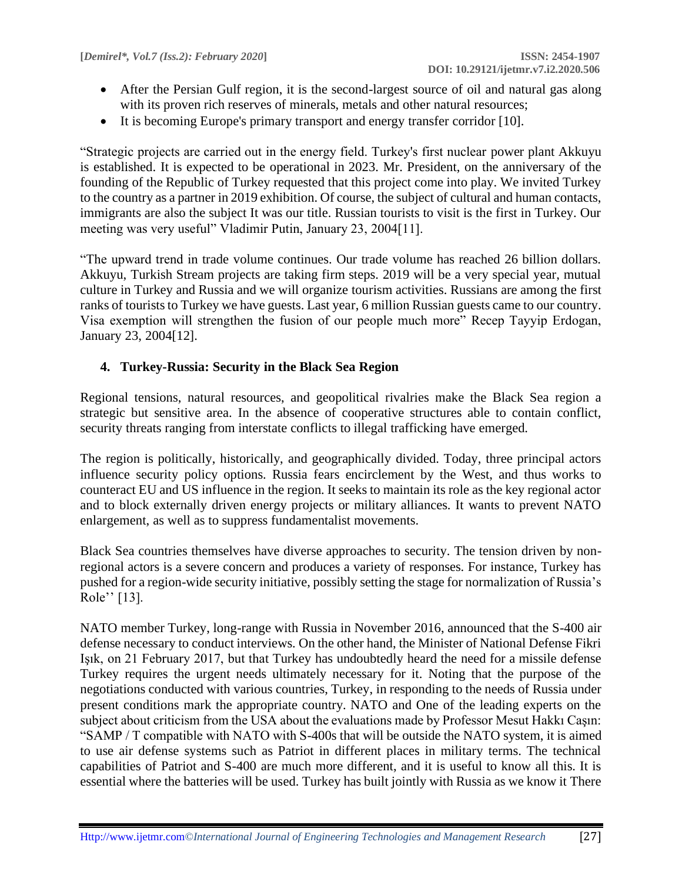- After the Persian Gulf region, it is the second-largest source of oil and natural gas along with its proven rich reserves of minerals, metals and other natural resources;
- It is becoming Europe's primary transport and energy transfer corridor [10].

"Strategic projects are carried out in the energy field. Turkey's first nuclear power plant Akkuyu is established. It is expected to be operational in 2023. Mr. President, on the anniversary of the founding of the Republic of Turkey requested that this project come into play. We invited Turkey to the country as a partner in 2019 exhibition. Of course, the subject of cultural and human contacts, immigrants are also the subject It was our title. Russian tourists to visit is the first in Turkey. Our meeting was very useful" Vladimir Putin, January 23, 2004[11].

"The upward trend in trade volume continues. Our trade volume has reached 26 billion dollars. Akkuyu, Turkish Stream projects are taking firm steps. 2019 will be a very special year, mutual culture in Turkey and Russia and we will organize tourism activities. Russians are among the first ranks of tourists to Turkey we have guests. Last year, 6 million Russian guests came to our country. Visa exemption will strengthen the fusion of our people much more" Recep Tayyip Erdogan, January 23, 2004[12].

### **4. Turkey-Russia: Security in the Black Sea Region**

Regional tensions, natural resources, and geopolitical rivalries make the Black Sea region a strategic but sensitive area. In the absence of cooperative structures able to contain conflict, security threats ranging from interstate conflicts to illegal trafficking have emerged.

The region is politically, historically, and geographically divided. Today, three principal actors influence security policy options. Russia fears encirclement by the West, and thus works to counteract EU and US influence in the region. It seeks to maintain its role as the key regional actor and to block externally driven energy projects or military alliances. It wants to prevent NATO enlargement, as well as to suppress fundamentalist movements.

Black Sea countries themselves have diverse approaches to security. The tension driven by nonregional actors is a severe concern and produces a variety of responses. For instance, Turkey has pushed for a region-wide security initiative, possibly setting the stage for normalization of Russia's Role'' [13].

NATO member Turkey, long-range with Russia in November 2016, announced that the S-400 air defense necessary to conduct interviews. On the other hand, the Minister of National Defense Fikri Işık, on 21 February 2017, but that Turkey has undoubtedly heard the need for a missile defense Turkey requires the urgent needs ultimately necessary for it. Noting that the purpose of the negotiations conducted with various countries, Turkey, in responding to the needs of Russia under present conditions mark the appropriate country. NATO and One of the leading experts on the subject about criticism from the USA about the evaluations made by Professor Mesut Hakkı Caşın: "SAMP / T compatible with NATO with S-400s that will be outside the NATO system, it is aimed to use air defense systems such as Patriot in different places in military terms. The technical capabilities of Patriot and S-400 are much more different, and it is useful to know all this. It is essential where the batteries will be used. Turkey has built jointly with Russia as we know it There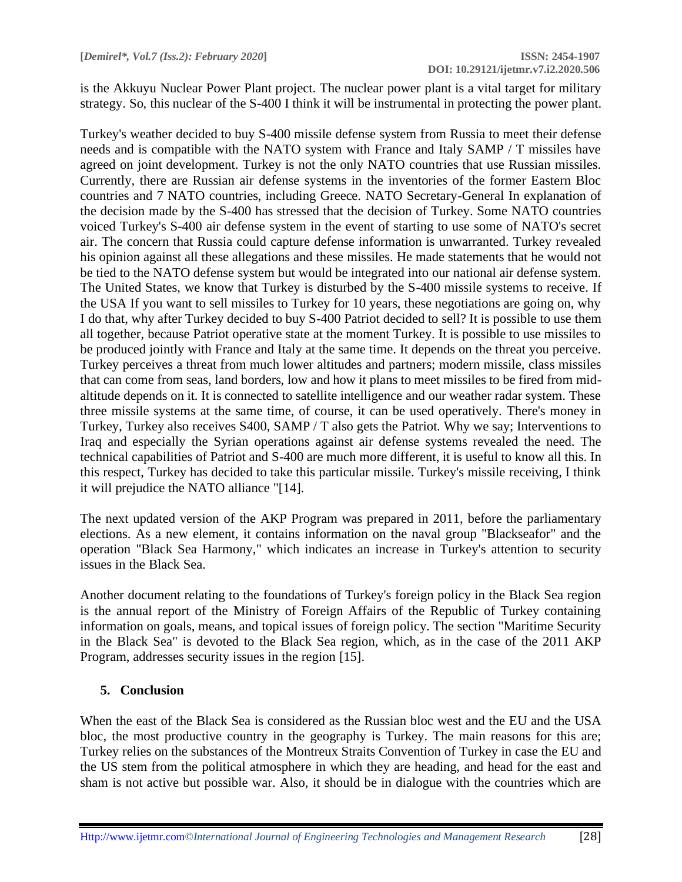is the Akkuyu Nuclear Power Plant project. The nuclear power plant is a vital target for military strategy. So, this nuclear of the S-400 I think it will be instrumental in protecting the power plant.

Turkey's weather decided to buy S-400 missile defense system from Russia to meet their defense needs and is compatible with the NATO system with France and Italy SAMP / T missiles have agreed on joint development. Turkey is not the only NATO countries that use Russian missiles. Currently, there are Russian air defense systems in the inventories of the former Eastern Bloc countries and 7 NATO countries, including Greece. NATO Secretary-General In explanation of the decision made by the S-400 has stressed that the decision of Turkey. Some NATO countries voiced Turkey's S-400 air defense system in the event of starting to use some of NATO's secret air. The concern that Russia could capture defense information is unwarranted. Turkey revealed his opinion against all these allegations and these missiles. He made statements that he would not be tied to the NATO defense system but would be integrated into our national air defense system. The United States, we know that Turkey is disturbed by the S-400 missile systems to receive. If the USA If you want to sell missiles to Turkey for 10 years, these negotiations are going on, why I do that, why after Turkey decided to buy S-400 Patriot decided to sell? It is possible to use them all together, because Patriot operative state at the moment Turkey. It is possible to use missiles to be produced jointly with France and Italy at the same time. It depends on the threat you perceive. Turkey perceives a threat from much lower altitudes and partners; modern missile, class missiles that can come from seas, land borders, low and how it plans to meet missiles to be fired from midaltitude depends on it. It is connected to satellite intelligence and our weather radar system. These three missile systems at the same time, of course, it can be used operatively. There's money in Turkey, Turkey also receives S400, SAMP / T also gets the Patriot. Why we say; Interventions to Iraq and especially the Syrian operations against air defense systems revealed the need. The technical capabilities of Patriot and S-400 are much more different, it is useful to know all this. In this respect, Turkey has decided to take this particular missile. Turkey's missile receiving, I think it will prejudice the NATO alliance "[14].

The next updated version of the AKP Program was prepared in 2011, before the parliamentary elections. As a new element, it contains information on the naval group "Blackseafor" and the operation "Black Sea Harmony," which indicates an increase in Turkey's attention to security issues in the Black Sea.

Another document relating to the foundations of Turkey's foreign policy in the Black Sea region is the annual report of the Ministry of Foreign Affairs of the Republic of Turkey containing information on goals, means, and topical issues of foreign policy. The section "Maritime Security in the Black Sea" is devoted to the Black Sea region, which, as in the case of the 2011 AKP Program, addresses security issues in the region [15].

## **5. Conclusion**

When the east of the Black Sea is considered as the Russian bloc west and the EU and the USA bloc, the most productive country in the geography is Turkey. The main reasons for this are; Turkey relies on the substances of the Montreux Straits Convention of Turkey in case the EU and the US stem from the political atmosphere in which they are heading, and head for the east and sham is not active but possible war. Also, it should be in dialogue with the countries which are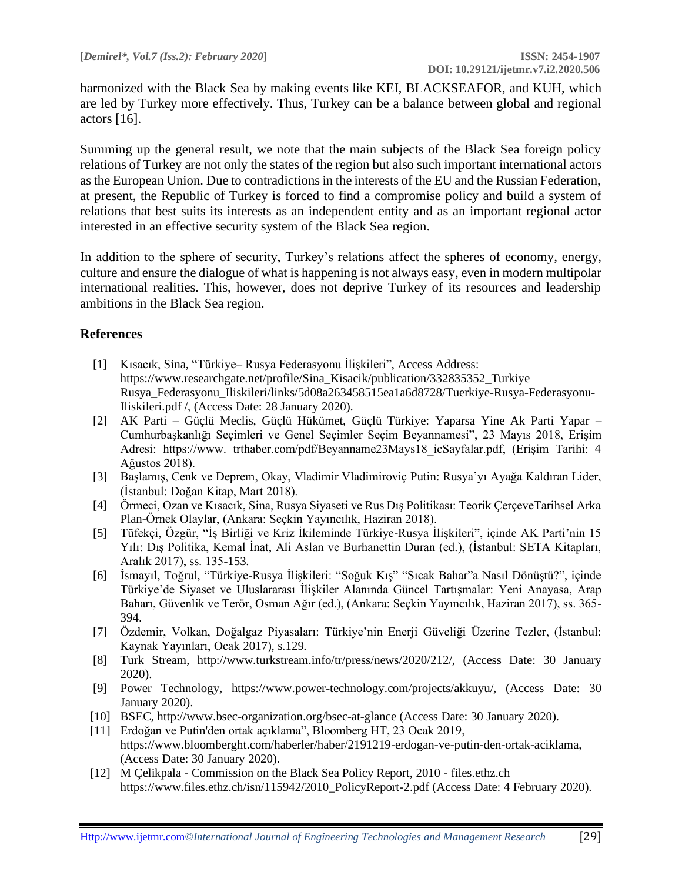harmonized with the Black Sea by making events like KEI, BLACKSEAFOR, and KUH, which are led by Turkey more effectively. Thus, Turkey can be a balance between global and regional actors  $[16]$ .

Summing up the general result, we note that the main subjects of the Black Sea foreign policy relations of Turkey are not only the states of the region but also such important international actors as the European Union. Due to contradictions in the interests of the EU and the Russian Federation, at present, the Republic of Turkey is forced to find a compromise policy and build a system of relations that best suits its interests as an independent entity and as an important regional actor interested in an effective security system of the Black Sea region.

In addition to the sphere of security, Turkey's relations affect the spheres of economy, energy, culture and ensure the dialogue of what is happening is not always easy, even in modern multipolar international realities. This, however, does not deprive Turkey of its resources and leadership ambitions in the Black Sea region.

### **References**

- [1] Kısacık, Sina, "Türkiye– Rusya Federasyonu İlişkileri", Access Address: https://www.researchgate.net/profile/Sina\_Kisacik/publication/332835352\_Turkiye Rusya\_Federasyonu\_Iliskileri/links/5d08a263458515ea1a6d8728/Tuerkiye-Rusya-Federasyonu-Iliskileri.pdf /, (Access Date: 28 January 2020).
- [2] AK Parti Güçlü Meclis, Güçlü Hükümet, Güçlü Türkiye: Yaparsa Yine Ak Parti Yapar Cumhurbaşkanlığı Seçimleri ve Genel Seçimler Seçim Beyannamesi", 23 Mayıs 2018, Erişim Adresi: https://www. trthaber.com/pdf/Beyanname23Mays18 icSayfalar.pdf, (Erişim Tarihi: 4 Ağustos 2018).
- [3] Başlamış, Cenk ve Deprem, Okay, Vladimir Vladimiroviç Putin: Rusya'yı Ayağa Kaldıran Lider, (İstanbul: Doğan Kitap, Mart 2018).
- [4] Örmeci, Ozan ve Kısacık, Sina, Rusya Siyaseti ve Rus Dış Politikası: Teorik ÇerçeveTarihsel Arka Plan-Örnek Olaylar, (Ankara: Seçkin Yayıncılık, Haziran 2018).
- [5] Tüfekçi, Özgür, "İş Birliği ve Kriz İkileminde Türkiye-Rusya İlişkileri", içinde AK Parti'nin 15 Yılı: Dış Politika, Kemal İnat, Ali Aslan ve Burhanettin Duran (ed.), (İstanbul: SETA Kitapları, Aralık 2017), ss. 135-153.
- [6] İsmayıl, Toğrul, "Türkiye-Rusya İlişkileri: "Soğuk Kış" "Sıcak Bahar"a Nasıl Dönüştü?", içinde Türkiye'de Siyaset ve Uluslararası İlişkiler Alanında Güncel Tartışmalar: Yeni Anayasa, Arap Baharı, Güvenlik ve Terör, Osman Ağır (ed.), (Ankara: Seçkin Yayıncılık, Haziran 2017), ss. 365- 394.
- [7] Özdemir, Volkan, Doğalgaz Piyasaları: Türkiye'nin Enerji Güveliği Üzerine Tezler, (İstanbul: Kaynak Yayınları, Ocak 2017), s.129.
- [8] Turk Stream, http://www.turkstream.info/tr/press/news/2020/212/, (Access Date: 30 January 2020).
- [9] Power Technology, https://www.power-technology.com/projects/akkuyu/, (Access Date: 30 January 2020).
- [10] BSEC, http://www.bsec-organization.org/bsec-at-glance (Access Date: 30 January 2020).
- [11] Erdoğan ve Putin'den ortak açıklama", Bloomberg HT, 23 Ocak 2019, https://www.bloomberght.com/haberler/haber/2191219-erdogan-ve-putin-den-ortak-aciklama, (Access Date: 30 January 2020).
- [12] M Çelikpala Commission on the Black Sea Policy Report, 2010 files.ethz.ch https://www.files.ethz.ch/isn/115942/2010\_PolicyReport-2.pdf (Access Date: 4 February 2020).